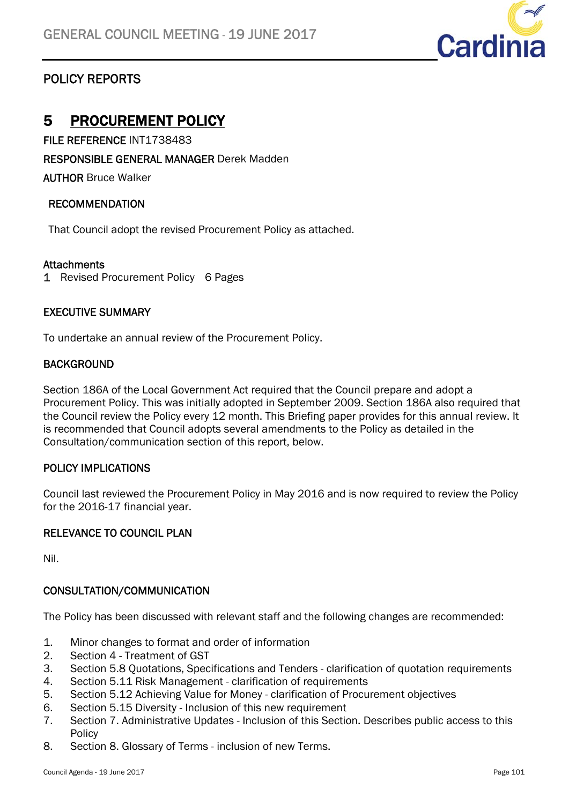

## POLICY REPORTS

## 5 PROCUREMENT POLICY

FILE REFERENCE INT1738483

RESPONSIBLE GENERAL MANAGER Derek Madden

AUTHOR Bruce Walker

#### RECOMMENDATION

That Council adopt the revised Procurement Policy as attached.

#### **Attachments**

1 Revised Procurement Policy 6 Pages

#### EXECUTIVE SUMMARY

To undertake an annual review of the Procurement Policy.

#### **BACKGROUND**

Section 186A of the Local Government Act required that the Council prepare and adopt a Procurement Policy. This was initially adopted in September 2009. Section 186A also required that the Council review the Policy every 12 month. This Briefing paper provides for this annual review. It is recommended that Council adopts several amendments to the Policy as detailed in the Consultation/communication section of this report, below.

#### POLICY IMPLICATIONS

Council last reviewed the Procurement Policy in May 2016 and is now required to review the Policy for the 2016-17 financial year.

#### RELEVANCE TO COUNCIL PLAN

Nil.

#### CONSULTATION/COMMUNICATION

The Policy has been discussed with relevant staff and the following changes are recommended:

- 1. Minor changes to format and order of information
- 2. Section 4 Treatment of GST
- 3. Section 5.8 Quotations, Specifications and Tenders clarification of quotation requirements
- 4. Section 5.11 Risk Management clarification of requirements
- 5. Section 5.12 Achieving Value for Money clarification of Procurement objectives
- 6. Section 5.15 Diversity Inclusion of this new requirement
- 7. Section 7. Administrative Updates Inclusion of this Section. Describes public access to this **Policy**
- 8. Section 8. Glossary of Terms inclusion of new Terms.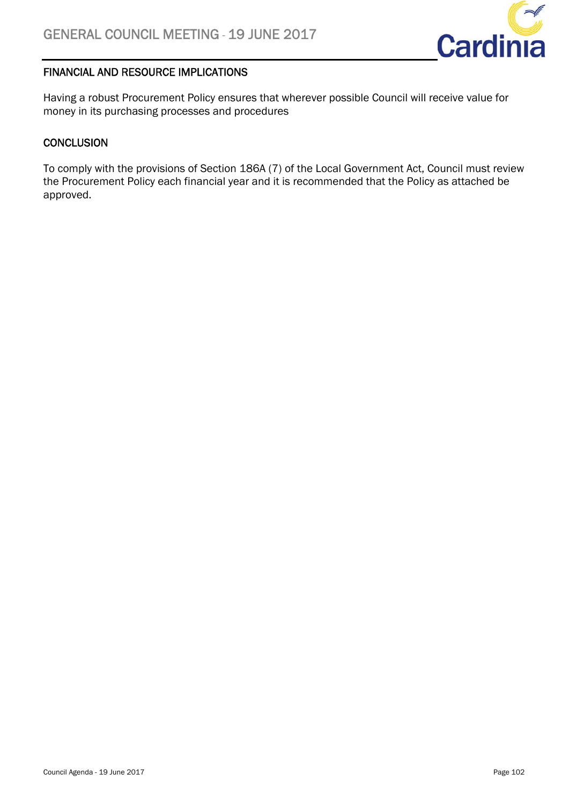

#### FINANCIAL AND RESOURCE IMPLICATIONS

Having a robust Procurement Policy ensures that wherever possible Council will receive value for money in its purchasing processes and procedures

#### **CONCLUSION**

To comply with the provisions of Section 186A (7) of the Local Government Act, Council must review the Procurement Policy each financial year and it is recommended that the Policy as attached be approved.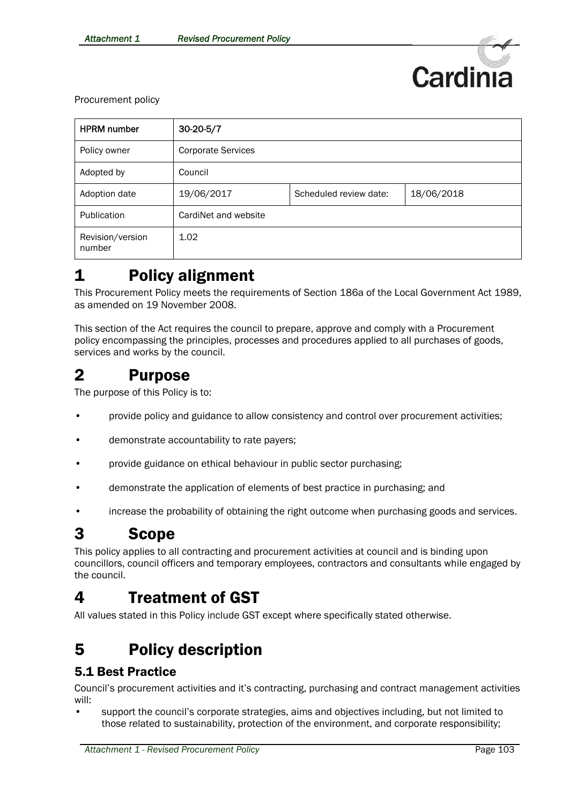

Procurement policy

| <b>HPRM</b> number         | $30-20-5/7$               |                        |            |
|----------------------------|---------------------------|------------------------|------------|
| Policy owner               | <b>Corporate Services</b> |                        |            |
| Adopted by                 | Council                   |                        |            |
| Adoption date              | 19/06/2017                | Scheduled review date: | 18/06/2018 |
| Publication                | CardiNet and website      |                        |            |
| Revision/version<br>number | 1.02                      |                        |            |

# 1 Policy alignment

This Procurement Policy meets the requirements of Section 186a of the Local Government Act 1989, as amended on 19 November 2008.

This section of the Act requires the council to prepare, approve and comply with a Procurement policy encompassing the principles, processes and procedures applied to all purchases of goods, services and works by the council.

## 2 Purpose

The purpose of this Policy is to:

- provide policy and guidance to allow consistency and control over procurement activities;
- demonstrate accountability to rate payers;
- provide guidance on ethical behaviour in public sector purchasing;
- demonstrate the application of elements of best practice in purchasing; and
- increase the probability of obtaining the right outcome when purchasing goods and services.

## 3 Scope

This policy applies to all contracting and procurement activities at council and is binding upon councillors, council officers and temporary employees, contractors and consultants while engaged by the council.

# 4 Treatment of GST

All values stated in this Policy include GST except where specifically stated otherwise.

# 5 Policy description

#### 5.1 Best Practice

Council's procurement activities and it's contracting, purchasing and contract management activities will:

• support the council's corporate strategies, aims and objectives including, but not limited to those related to sustainability, protection of the environment, and corporate responsibility;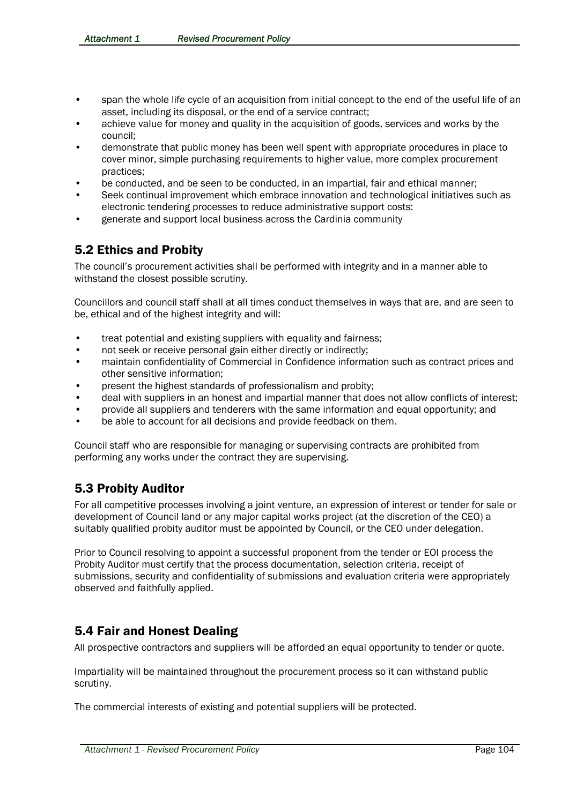- span the whole life cycle of an acquisition from initial concept to the end of the useful life of an asset, including its disposal, or the end of a service contract;
- achieve value for money and quality in the acquisition of goods, services and works by the council;
- demonstrate that public money has been well spent with appropriate procedures in place to cover minor, simple purchasing requirements to higher value, more complex procurement practices;
- be conducted, and be seen to be conducted, in an impartial, fair and ethical manner;
- Seek continual improvement which embrace innovation and technological initiatives such as electronic tendering processes to reduce administrative support costs:
- generate and support local business across the Cardinia community

## 5.2 Ethics and Probity

The council's procurement activities shall be performed with integrity and in a manner able to withstand the closest possible scrutiny.

Councillors and council staff shall at all times conduct themselves in ways that are, and are seen to be, ethical and of the highest integrity and will:

- treat potential and existing suppliers with equality and fairness;
- not seek or receive personal gain either directly or indirectly;
- maintain confidentiality of Commercial in Confidence information such as contract prices and other sensitive information;
- present the highest standards of professionalism and probity;
- deal with suppliers in an honest and impartial manner that does not allow conflicts of interest;
- provide all suppliers and tenderers with the same information and equal opportunity; and
- be able to account for all decisions and provide feedback on them.

Council staff who are responsible for managing or supervising contracts are prohibited from performing any works under the contract they are supervising.

### 5.3 Probity Auditor

For all competitive processes involving a joint venture, an expression of interest or tender for sale or development of Council land or any major capital works project (at the discretion of the CEO) a suitably qualified probity auditor must be appointed by Council, or the CEO under delegation.

Prior to Council resolving to appoint a successful proponent from the tender or EOI process the Probity Auditor must certify that the process documentation, selection criteria, receipt of submissions, security and confidentiality of submissions and evaluation criteria were appropriately observed and faithfully applied.

### 5.4 Fair and Honest Dealing

All prospective contractors and suppliers will be afforded an equal opportunity to tender or quote.

Impartiality will be maintained throughout the procurement process so it can withstand public scrutiny.

The commercial interests of existing and potential suppliers will be protected.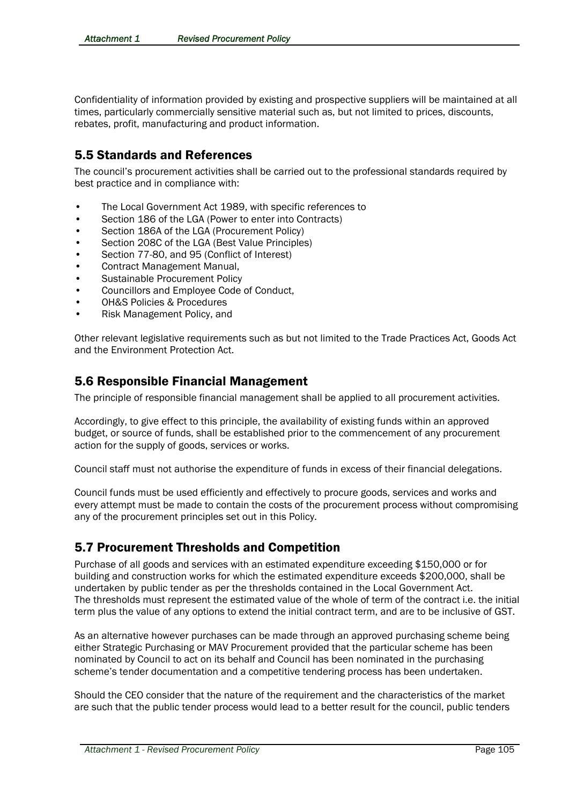Confidentiality of information provided by existing and prospective suppliers will be maintained at all times, particularly commercially sensitive material such as, but not limited to prices, discounts, rebates, profit, manufacturing and product information.

#### 5.5 Standards and References

The council's procurement activities shall be carried out to the professional standards required by best practice and in compliance with:

- The Local Government Act 1989, with specific references to
- Section 186 of the LGA (Power to enter into Contracts)
- Section 186A of the LGA (Procurement Policy)
- Section 208C of the LGA (Best Value Principles)
- Section 77-80, and 95 (Conflict of Interest)
- Contract Management Manual,
- Sustainable Procurement Policy
- Councillors and Employee Code of Conduct,
- OH&S Policies & Procedures
- Risk Management Policy, and

Other relevant legislative requirements such as but not limited to the Trade Practices Act, Goods Act and the Environment Protection Act.

#### 5.6 Responsible Financial Management

The principle of responsible financial management shall be applied to all procurement activities.

Accordingly, to give effect to this principle, the availability of existing funds within an approved budget, or source of funds, shall be established prior to the commencement of any procurement action for the supply of goods, services or works.

Council staff must not authorise the expenditure of funds in excess of their financial delegations.

Council funds must be used efficiently and effectively to procure goods, services and works and every attempt must be made to contain the costs of the procurement process without compromising any of the procurement principles set out in this Policy.

#### 5.7 Procurement Thresholds and Competition

Purchase of all goods and services with an estimated expenditure exceeding \$150,000 or for building and construction works for which the estimated expenditure exceeds \$200,000, shall be undertaken by public tender as per the thresholds contained in the Local Government Act. The thresholds must represent the estimated value of the whole of term of the contract i.e. the initial term plus the value of any options to extend the initial contract term, and are to be inclusive of GST.

As an alternative however purchases can be made through an approved purchasing scheme being either Strategic Purchasing or MAV Procurement provided that the particular scheme has been nominated by Council to act on its behalf and Council has been nominated in the purchasing scheme's tender documentation and a competitive tendering process has been undertaken.

Should the CEO consider that the nature of the requirement and the characteristics of the market are such that the public tender process would lead to a better result for the council, public tenders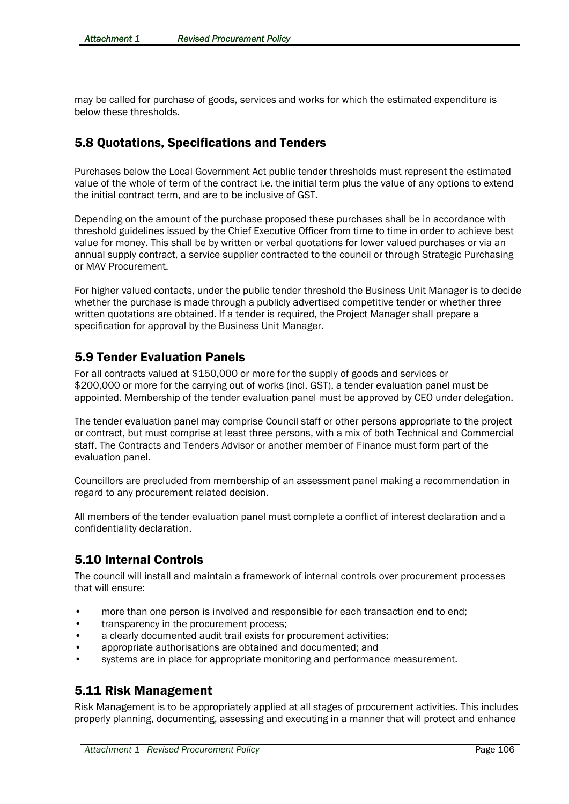may be called for purchase of goods, services and works for which the estimated expenditure is below these thresholds.

### 5.8 Quotations, Specifications and Tenders

Purchases below the Local Government Act public tender thresholds must represent the estimated value of the whole of term of the contract i.e. the initial term plus the value of any options to extend the initial contract term, and are to be inclusive of GST.

Depending on the amount of the purchase proposed these purchases shall be in accordance with threshold guidelines issued by the Chief Executive Officer from time to time in order to achieve best value for money. This shall be by written or verbal quotations for lower valued purchases or via an annual supply contract, a service supplier contracted to the council or through Strategic Purchasing or MAV Procurement.

For higher valued contacts, under the public tender threshold the Business Unit Manager is to decide whether the purchase is made through a publicly advertised competitive tender or whether three written quotations are obtained. If a tender is required, the Project Manager shall prepare a specification for approval by the Business Unit Manager.

#### 5.9 Tender Evaluation Panels

For all contracts valued at \$150,000 or more for the supply of goods and services or \$200,000 or more for the carrying out of works (incl. GST), a tender evaluation panel must be appointed. Membership of the tender evaluation panel must be approved by CEO under delegation.

The tender evaluation panel may comprise Council staff or other persons appropriate to the project or contract, but must comprise at least three persons, with a mix of both Technical and Commercial staff. The Contracts and Tenders Advisor or another member of Finance must form part of the evaluation panel.

Councillors are precluded from membership of an assessment panel making a recommendation in regard to any procurement related decision.

All members of the tender evaluation panel must complete a conflict of interest declaration and a confidentiality declaration.

### 5.10 Internal Controls

The council will install and maintain a framework of internal controls over procurement processes that will ensure:

- more than one person is involved and responsible for each transaction end to end;
- transparency in the procurement process;
- a clearly documented audit trail exists for procurement activities:
- appropriate authorisations are obtained and documented; and
- systems are in place for appropriate monitoring and performance measurement.

### 5.11 Risk Management

Risk Management is to be appropriately applied at all stages of procurement activities. This includes properly planning, documenting, assessing and executing in a manner that will protect and enhance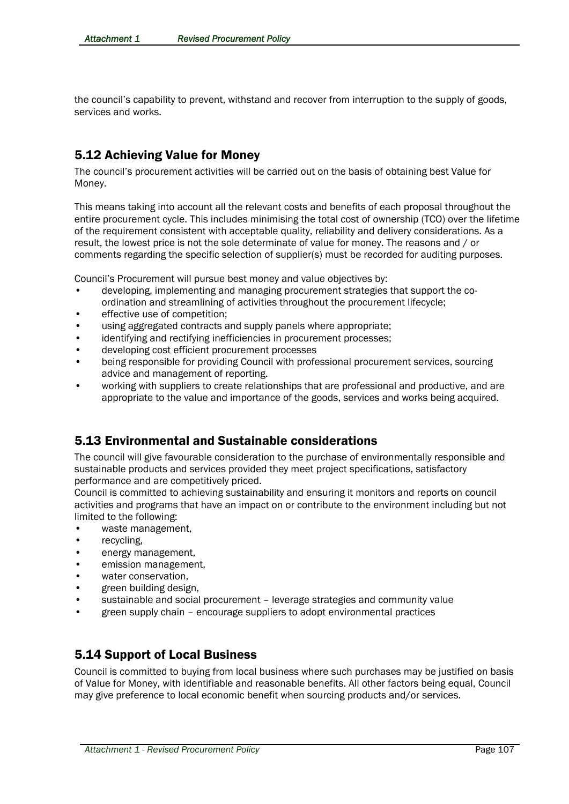the council's capability to prevent, withstand and recover from interruption to the supply of goods, services and works.

## 5.12 Achieving Value for Money

The council's procurement activities will be carried out on the basis of obtaining best Value for Money.

This means taking into account all the relevant costs and benefits of each proposal throughout the entire procurement cycle. This includes minimising the total cost of ownership (TCO) over the lifetime of the requirement consistent with acceptable quality, reliability and delivery considerations. As a result, the lowest price is not the sole determinate of value for money. The reasons and / or comments regarding the specific selection of supplier(s) must be recorded for auditing purposes.

Council's Procurement will pursue best money and value objectives by:

- developing, implementing and managing procurement strategies that support the coordination and streamlining of activities throughout the procurement lifecycle;
- effective use of competition:
- using aggregated contracts and supply panels where appropriate;
- identifying and rectifying inefficiencies in procurement processes;
- developing cost efficient procurement processes
- being responsible for providing Council with professional procurement services, sourcing advice and management of reporting.
- working with suppliers to create relationships that are professional and productive, and are appropriate to the value and importance of the goods, services and works being acquired.

### 5.13 Environmental and Sustainable considerations

The council will give favourable consideration to the purchase of environmentally responsible and sustainable products and services provided they meet project specifications, satisfactory performance and are competitively priced.

Council is committed to achieving sustainability and ensuring it monitors and reports on council activities and programs that have an impact on or contribute to the environment including but not limited to the following:

- waste management,
- recycling,
- energy management,
- emission management,
- water conservation.
- green building design,
- sustainable and social procurement leverage strategies and community value
- green supply chain encourage suppliers to adopt environmental practices

#### 5.14 Support of Local Business

Council is committed to buying from local business where such purchases may be justified on basis of Value for Money, with identifiable and reasonable benefits. All other factors being equal, Council may give preference to local economic benefit when sourcing products and/or services.